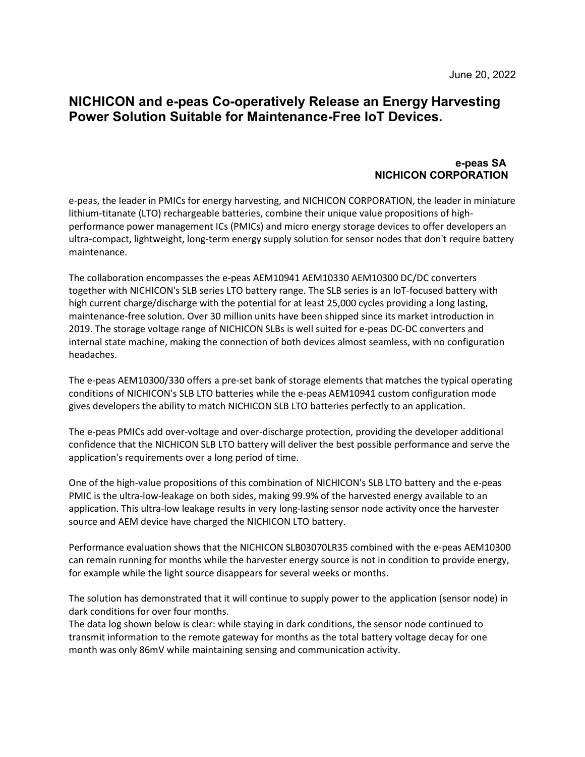## **NICHICON and e-peas Co-operatively Release an Energy Harvesting Power Solution Suitable for Maintenance-Free IoT Devices.**

## **e-peas SA NICHICON CORPORATION**

e-peas, the leader in PMICs for energy harvesting, and NICHICON CORPORATION, the leader in miniature lithium-titanate (LTO) rechargeable batteries, combine their unique value propositions of highperformance power management ICs (PMICs) and micro energy storage devices to offer developers an ultra-compact, lightweight, long-term energy supply solution for sensor nodes that don't require battery maintenance.

The collaboration encompasses the e-peas AEM10941 AEM10330 AEM10300 DC/DC converters together with NICHICON's SLB series LTO battery range. The SLB series is an IoT-focused battery with high current charge/discharge with the potential for at least 25,000 cycles providing a long lasting, maintenance-free solution. Over 30 million units have been shipped since its market introduction in 2019. The storage voltage range of NICHICON SLBs is well suited for e-peas DC-DC converters and internal state machine, making the connection of both devices almost seamless, with no configuration headaches.

The e-peas AEM10300/330 offers a pre-set bank of storage elements that matches the typical operating conditions of NICHICON's SLB LTO batteries while the e-peas AEM10941 custom configuration mode gives developers the ability to match NICHICON SLB LTO batteries perfectly to an application.

The e-peas PMICs add over-voltage and over-discharge protection, providing the developer additional confidence that the NICHICON SLB LTO battery will deliver the best possible performance and serve the application's requirements over a long period of time.

One of the high-value propositions of this combination of NICHICON's SLB LTO battery and the e-peas PMIC is the ultra-low-leakage on both sides, making 99.9% of the harvested energy available to an application. This ultra-low leakage results in very long-lasting sensor node activity once the harvester source and AEM device have charged the NICHICON LTO battery.

Performance evaluation shows that the NICHICON SLB03070LR35 combined with the e-peas AEM10300 can remain running for months while the harvester energy source is not in condition to provide energy, for example while the light source disappears for several weeks or months.

The solution has demonstrated that it will continue to supply power to the application (sensor node) in dark conditions for over four months.

The data log shown below is clear: while staying in dark conditions, the sensor node continued to transmit information to the remote gateway for months as the total battery voltage decay for one month was only 86mV while maintaining sensing and communication activity.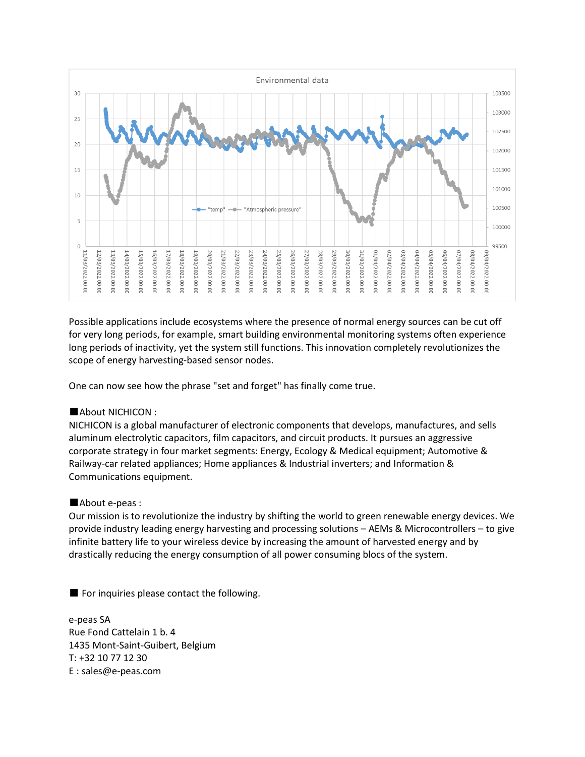

Possible applications include ecosystems where the presence of normal energy sources can be cut off for very long periods, for example, smart building environmental monitoring systems often experience long periods of inactivity, yet the system still functions. This innovation completely revolutionizes the scope of energy harvesting-based sensor nodes.

One can now see how the phrase "set and forget" has finally come true.

## ■About NICHICON :

NICHICON is a global manufacturer of electronic components that develops, manufactures, and sells aluminum electrolytic capacitors, film capacitors, and circuit products. It pursues an aggressive corporate strategy in four market segments: Energy, Ecology & Medical equipment; Automotive & Railway-car related appliances; Home appliances & Industrial inverters; and Information & Communications equipment.

## ■About e-peas :

Our mission is to revolutionize the industry by shifting the world to green renewable energy devices. We provide industry leading energy harvesting and processing solutions – AEMs & Microcontrollers – to give infinite battery life to your wireless device by increasing the amount of harvested energy and by drastically reducing the energy consumption of all power consuming blocs of the system.

■ For inquiries please contact the following.

e-peas SA Rue Fond Cattelain 1 b. 4 1435 Mont-Saint-Guibert, Belgium T: +32 10 77 12 30 E : sales@e-peas.com